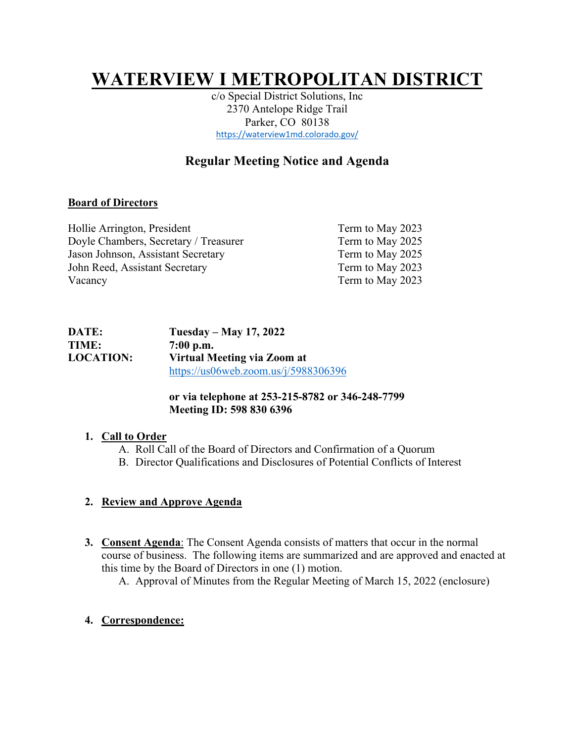# **WATERVIEW I METROPOLITAN DISTRICT**

c/o Special District Solutions, Inc 2370 Antelope Ridge Trail Parker, CO 80138 https://waterview1md.colorado.gov/

## **Regular Meeting Notice and Agenda**

### **Board of Directors**

| Hollie Arrington, President           | Term to May 2023 |
|---------------------------------------|------------------|
| Doyle Chambers, Secretary / Treasurer | Term to May 2025 |
| Jason Johnson, Assistant Secretary    | Term to May 2025 |
| John Reed, Assistant Secretary        | Term to May 2023 |
| Vacancy                               | Term to May 2023 |

| <b>DATE:</b>     | Tuesday – May 17, 2022                  |  |
|------------------|-----------------------------------------|--|
| <b>TIME:</b>     | $7:00$ p.m.                             |  |
| <b>LOCATION:</b> | Virtual Meeting via Zoom at             |  |
|                  | https://us06web.zoom.us/ $i/5988306396$ |  |

## **or via telephone at 253-215-8782 or 346-248-7799 Meeting ID: 598 830 6396**

#### **1. Call to Order**

- A. Roll Call of the Board of Directors and Confirmation of a Quorum
- B. Director Qualifications and Disclosures of Potential Conflicts of Interest

## **2. Review and Approve Agenda**

**3. Consent Agenda**: The Consent Agenda consists of matters that occur in the normal course of business. The following items are summarized and are approved and enacted at this time by the Board of Directors in one (1) motion.

A. Approval of Minutes from the Regular Meeting of March 15, 2022 (enclosure)

## **4. Correspondence:**